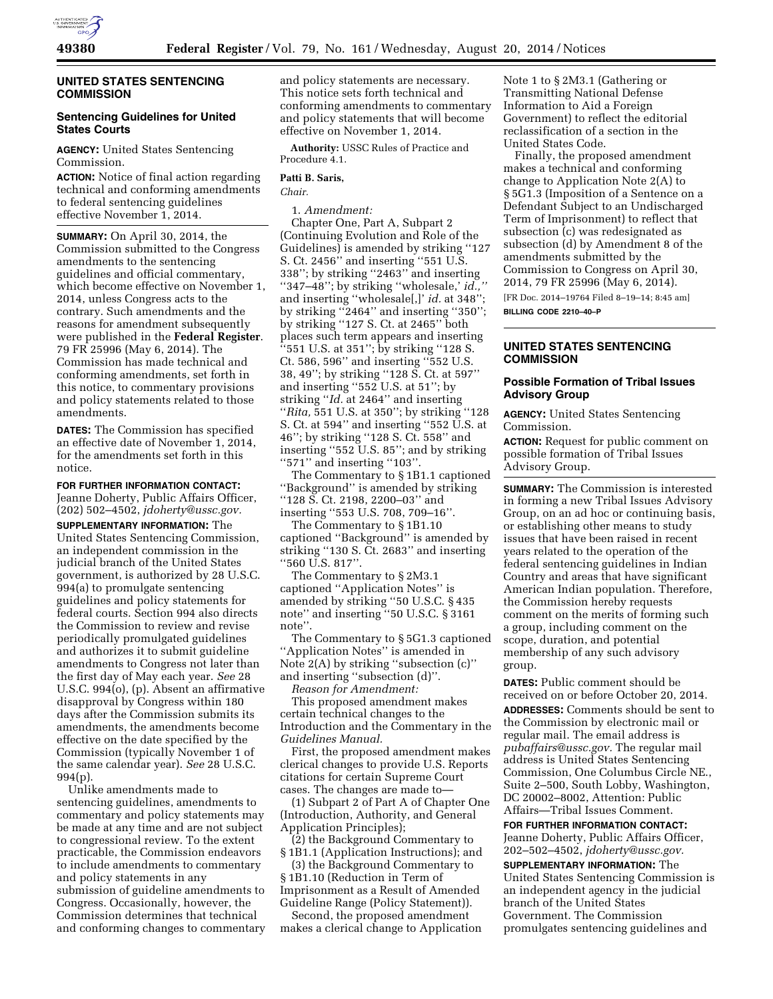

#### **UNITED STATES SENTENCING COMMISSION**

# **Sentencing Guidelines for United States Courts**

**AGENCY:** United States Sentencing Commission.

**ACTION:** Notice of final action regarding technical and conforming amendments to federal sentencing guidelines effective November 1, 2014.

**SUMMARY:** On April 30, 2014, the Commission submitted to the Congress amendments to the sentencing guidelines and official commentary, which become effective on November 1, 2014, unless Congress acts to the contrary. Such amendments and the reasons for amendment subsequently were published in the **Federal Register**. 79 FR 25996 (May 6, 2014). The Commission has made technical and conforming amendments, set forth in this notice, to commentary provisions and policy statements related to those amendments.

**DATES:** The Commission has specified an effective date of November 1, 2014, for the amendments set forth in this notice.

**FOR FURTHER INFORMATION CONTACT:**  Jeanne Doherty, Public Affairs Officer, (202) 502–4502, *[jdoherty@ussc.gov.](mailto:jdoherty@ussc.gov)* 

**SUPPLEMENTARY INFORMATION:** The United States Sentencing Commission, an independent commission in the judicial branch of the United States government, is authorized by 28 U.S.C. 994(a) to promulgate sentencing guidelines and policy statements for federal courts. Section 994 also directs the Commission to review and revise periodically promulgated guidelines and authorizes it to submit guideline amendments to Congress not later than the first day of May each year. *See* 28 U.S.C. 994(o), (p). Absent an affirmative disapproval by Congress within 180 days after the Commission submits its amendments, the amendments become effective on the date specified by the Commission (typically November 1 of the same calendar year). *See* 28 U.S.C. 994(p).

Unlike amendments made to sentencing guidelines, amendments to commentary and policy statements may be made at any time and are not subject to congressional review. To the extent practicable, the Commission endeavors to include amendments to commentary and policy statements in any submission of guideline amendments to Congress. Occasionally, however, the Commission determines that technical and conforming changes to commentary

and policy statements are necessary. This notice sets forth technical and conforming amendments to commentary and policy statements that will become effective on November 1, 2014.

**Authority:** USSC Rules of Practice and Procedure 4.1.

## **Patti B. Saris,**

*Chair.* 

1. *Amendment:* 

Chapter One, Part A, Subpart 2 (Continuing Evolution and Role of the Guidelines) is amended by striking ''127 S. Ct. 2456'' and inserting ''551 U.S. 338''; by striking ''2463'' and inserting "347-48"; by striking "wholesale,' *id.*, and inserting ''wholesale[,]' *id.* at 348''; by striking "2464" and inserting "350"; by striking ''127 S. Ct. at 2465'' both places such term appears and inserting ''551 U.S. at 351''; by striking ''128 S. Ct. 586, 596'' and inserting ''552 U.S. 38, 49''; by striking ''128 S. Ct. at 597'' and inserting ''552 U.S. at 51''; by striking ''*Id.* at 2464'' and inserting ''*Rita,* 551 U.S. at 350''; by striking ''128 S. Ct. at 594'' and inserting ''552 U.S. at 46''; by striking ''128 S. Ct. 558'' and inserting ''552 U.S. 85''; and by striking ''571'' and inserting ''103''.

The Commentary to § 1B1.1 captioned ''Background'' is amended by striking ''128 S. Ct. 2198, 2200–03'' and inserting ''553 U.S. 708, 709–16''.

The Commentary to § 1B1.10 captioned ''Background'' is amended by striking ''130 S. Ct. 2683'' and inserting ''560 U.S. 817''.

The Commentary to § 2M3.1 captioned ''Application Notes'' is amended by striking ''50 U.S.C. § 435 note'' and inserting ''50 U.S.C. § 3161 note''.

The Commentary to § 5G1.3 captioned ''Application Notes'' is amended in Note 2(A) by striking ''subsection (c)'' and inserting ''subsection (d)''.

*Reason for Amendment:* 

This proposed amendment makes certain technical changes to the Introduction and the Commentary in the *Guidelines Manual.* 

First, the proposed amendment makes clerical changes to provide U.S. Reports citations for certain Supreme Court cases. The changes are made to—

(1) Subpart 2 of Part A of Chapter One (Introduction, Authority, and General Application Principles);

(2) the Background Commentary to § 1B1.1 (Application Instructions); and

(3) the Background Commentary to § 1B1.10 (Reduction in Term of Imprisonment as a Result of Amended Guideline Range (Policy Statement)).

Second, the proposed amendment makes a clerical change to Application Note 1 to § 2M3.1 (Gathering or Transmitting National Defense Information to Aid a Foreign Government) to reflect the editorial reclassification of a section in the United States Code.

Finally, the proposed amendment makes a technical and conforming change to Application Note 2(A) to § 5G1.3 (Imposition of a Sentence on a Defendant Subject to an Undischarged Term of Imprisonment) to reflect that subsection (c) was redesignated as subsection (d) by Amendment 8 of the amendments submitted by the Commission to Congress on April 30, 2014, 79 FR 25996 (May 6, 2014).

[FR Doc. 2014–19764 Filed 8–19–14; 8:45 am] **BILLING CODE 2210–40–P** 

# **UNITED STATES SENTENCING COMMISSION**

## **Possible Formation of Tribal Issues Advisory Group**

**AGENCY:** United States Sentencing Commission.

**ACTION:** Request for public comment on possible formation of Tribal Issues Advisory Group.

**SUMMARY:** The Commission is interested in forming a new Tribal Issues Advisory Group, on an ad hoc or continuing basis, or establishing other means to study issues that have been raised in recent years related to the operation of the federal sentencing guidelines in Indian Country and areas that have significant American Indian population. Therefore, the Commission hereby requests comment on the merits of forming such a group, including comment on the scope, duration, and potential membership of any such advisory group.

**DATES:** Public comment should be received on or before October 20, 2014. **ADDRESSES:** Comments should be sent to the Commission by electronic mail or regular mail. The email address is *[pubaffairs@ussc.gov.](mailto:pubaffairs@ussc.gov)* The regular mail address is United States Sentencing Commission, One Columbus Circle NE., Suite 2–500, South Lobby, Washington, DC 20002–8002, Attention: Public Affairs—Tribal Issues Comment.

**FOR FURTHER INFORMATION CONTACT:** 

Jeanne Doherty, Public Affairs Officer, 202–502–4502, *[jdoherty@ussc.gov.](mailto:jdoherty@ussc.gov)* 

**SUPPLEMENTARY INFORMATION:** The United States Sentencing Commission is an independent agency in the judicial branch of the United States Government. The Commission promulgates sentencing guidelines and